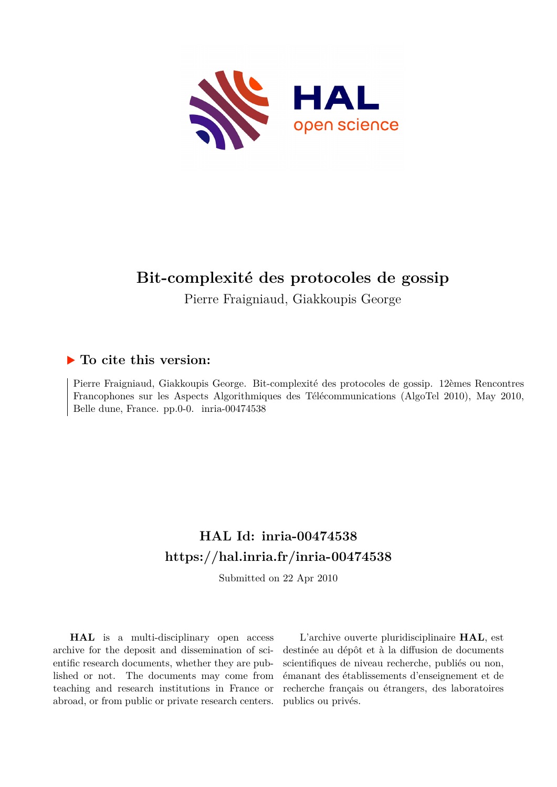

## **Bit-complexité des protocoles de gossip**

Pierre Fraigniaud, Giakkoupis George

## **To cite this version:**

Pierre Fraigniaud, Giakkoupis George. Bit-complexité des protocoles de gossip. 12èmes Rencontres Francophones sur les Aspects Algorithmiques des Télécommunications (AlgoTel 2010), May 2010, Belle dune, France. pp.0-0.  $inria-00474538$ 

# **HAL Id: inria-00474538 <https://hal.inria.fr/inria-00474538>**

Submitted on 22 Apr 2010

**HAL** is a multi-disciplinary open access archive for the deposit and dissemination of scientific research documents, whether they are published or not. The documents may come from teaching and research institutions in France or abroad, or from public or private research centers.

L'archive ouverte pluridisciplinaire **HAL**, est destinée au dépôt et à la diffusion de documents scientifiques de niveau recherche, publiés ou non, émanant des établissements d'enseignement et de recherche français ou étrangers, des laboratoires publics ou privés.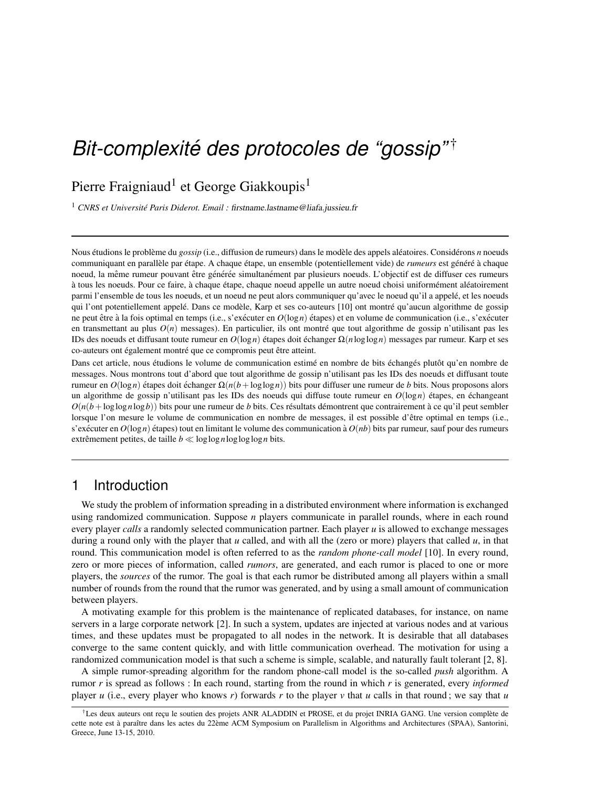# *Bit-complexite des protocoles de "gossip" ´* †

## Pierre Fraigniaud<sup>1</sup> et George Giakkoupis<sup>1</sup>

<sup>1</sup> CNRS et Université Paris Diderot. Email : firstname.lastname@liafa.jussieu.fr

Nous étudions le problème du *gossip* (i.e., diffusion de rumeurs) dans le modèle des appels aléatoires. Considérons *n* noeuds communiquant en parallèle par étape. A chaque étape, un ensemble (potentiellement vide) de *rumeurs* est généré à chaque noeud, la même rumeur pouvant être générée simultanément par plusieurs noeuds. L'objectif est de diffuser ces rumeurs à tous les noeuds. Pour ce faire, à chaque étape, chaque noeud appelle un autre noeud choisi uniformément aléatoirement parmi l'ensemble de tous les noeuds, et un noeud ne peut alors communiquer qu'avec le noeud qu'il a appelé, et les noeuds qui l'ont potentiellement appelé. Dans ce modèle, Karp et ses co-auteurs [10] ont montré qu'aucun algorithme de gossip ne peut être à la fois optimal en temps (i.e., s'exécuter en  $O(\log n)$  étapes) et en volume de communication (i.e., s'exécuter en transmettant au plus  $O(n)$  messages). En particulier, ils ont montré que tout algorithme de gossip n'utilisant pas les IDs des noeuds et diffusant toute rumeur en *O*(log*n*) étapes doit échanger Ω(*n*loglog*n*) messages par rumeur. Karp et ses co-auteurs ont également montré que ce compromis peut être atteint.

Dans cet article, nous étudions le volume de communication estimé en nombre de bits échangés plutôt qu'en nombre de messages. Nous montrons tout d'abord que tout algorithme de gossip n'utilisant pas les IDs des noeuds et diffusant toute rumeur en  $O(\log n)$  étapes doit échanger  $\Omega(n(b + \log \log n))$  bits pour diffuser une rumeur de *b* bits. Nous proposons alors un algorithme de gossip n'utilisant pas les IDs des noeuds qui diffuse toute rumeur en  $O(log n)$  étapes, en échangeant  $O(n(b + \log \log n \log b))$  bits pour une rumeur de *b* bits. Ces résultats démontrent que contrairement à ce qu'il peut sembler lorsque l'on mesure le volume de communication en nombre de messages, il est possible d'être optimal en temps (i.e., s'exécuter en  $O(\log n)$  étapes) tout en limitant le volume des communication à  $O(nb)$  bits par rumeur, sauf pour des rumeurs extrêmement petites, de taille  $b \ll \log \log n \log \log n$  bits.

#### 1 Introduction

We study the problem of information spreading in a distributed environment where information is exchanged using randomized communication. Suppose *n* players communicate in parallel rounds, where in each round every player *calls* a randomly selected communication partner. Each player *u* is allowed to exchange messages during a round only with the player that *u* called, and with all the (zero or more) players that called *u*, in that round. This communication model is often referred to as the *random phone-call model* [10]. In every round, zero or more pieces of information, called *rumors*, are generated, and each rumor is placed to one or more players, the *sources* of the rumor. The goal is that each rumor be distributed among all players within a small number of rounds from the round that the rumor was generated, and by using a small amount of communication between players.

A motivating example for this problem is the maintenance of replicated databases, for instance, on name servers in a large corporate network [2]. In such a system, updates are injected at various nodes and at various times, and these updates must be propagated to all nodes in the network. It is desirable that all databases converge to the same content quickly, and with little communication overhead. The motivation for using a randomized communication model is that such a scheme is simple, scalable, and naturally fault tolerant [2, 8].

A simple rumor-spreading algorithm for the random phone-call model is the so-called *push* algorithm. A rumor *r* is spread as follows : In each round, starting from the round in which *r* is generated, every *informed* player *u* (i.e., every player who knows *r*) forwards *r* to the player *v* that *u* calls in that round; we say that *u* 

 $\dagger$ Les deux auteurs ont recu le soutien des projets ANR ALADDIN et PROSE, et du projet INRIA GANG. Une version complète de cette note est à paraître dans les actes du 22ème ACM Symposium on Parallelism in Algorithms and Architectures (SPAA), Santorini, Greece, June 13-15, 2010.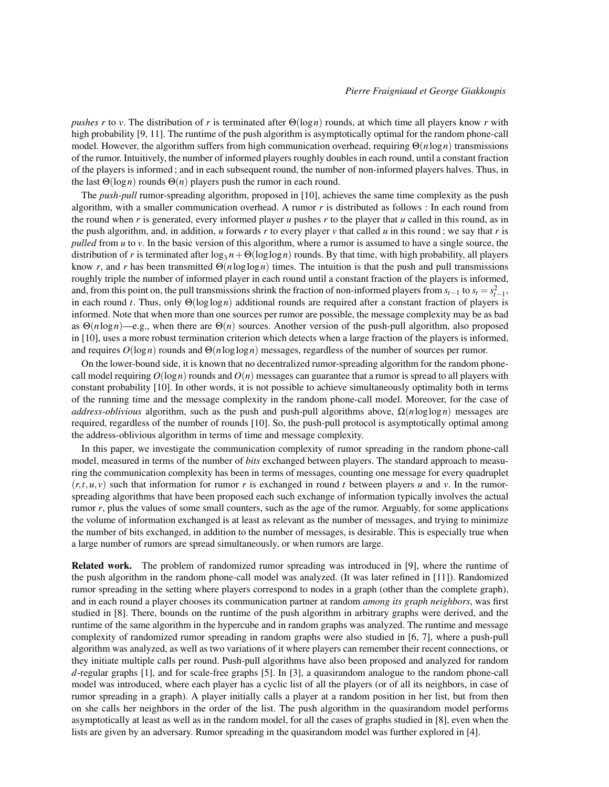*pushes r* to *v*. The distribution of *r* is terminated after Θ(log*n*) rounds, at which time all players know *r* with high probability [9, 11]. The runtime of the push algorithm is asymptotically optimal for the random phone-call model. However, the algorithm suffers from high communication overhead, requiring Θ(*n*log*n*) transmissions of the rumor. Intuitively, the number of informed players roughly doubles in each round, until a constant fraction of the players is informed ; and in each subsequent round, the number of non-informed players halves. Thus, in the last  $\Theta(\log n)$  rounds  $\Theta(n)$  players push the rumor in each round.

The *push-pull* rumor-spreading algorithm, proposed in [10], achieves the same time complexity as the push algorithm, with a smaller communication overhead. A rumor *r* is distributed as follows : In each round from the round when *r* is generated, every informed player *u* pushes *r* to the player that *u* called in this round, as in the push algorithm, and, in addition, *u* forwards *r* to every player *v* that called *u* in this round; we say that *r* is *pulled* from *u* to *v*. In the basic version of this algorithm, where a rumor is assumed to have a single source, the distribution of *r* is terminated after  $\log_3 n + \Theta(\log \log n)$  rounds. By that time, with high probability, all players know *r*, and *r* has been transmitted  $\Theta(n \log \log n)$  times. The intuition is that the push and pull transmissions roughly triple the number of informed player in each round until a constant fraction of the players is informed, and, from this point on, the pull transmissions shrink the fraction of non-informed players from  $s_{t-1}$  to  $s_t = s_{t-1}^2$ , in each round *t*. Thus, only Θ(loglog*n*) additional rounds are required after a constant fraction of players is informed. Note that when more than one sources per rumor are possible, the message complexity may be as bad as Θ(*n*log*n*)—e.g., when there are Θ(*n*) sources. Another version of the push-pull algorithm, also proposed in [10], uses a more robust termination criterion which detects when a large fraction of the players is informed, and requires *O*(log*n*) rounds and Θ(*n*loglog*n*) messages, regardless of the number of sources per rumor.

On the lower-bound side, it is known that no decentralized rumor-spreading algorithm for the random phonecall model requiring  $O(\log n)$  rounds and  $O(n)$  messages can guarantee that a rumor is spread to all players with constant probability [10]. In other words, it is not possible to achieve simultaneously optimality both in terms of the running time and the message complexity in the random phone-call model. Moreover, for the case of *address-oblivious* algorithm, such as the push and push-pull algorithms above,  $\Omega(n \log \log n)$  messages are required, regardless of the number of rounds [10]. So, the push-pull protocol is asymptotically optimal among the address-oblivious algorithm in terms of time and message complexity.

In this paper, we investigate the communication complexity of rumor spreading in the random phone-call model, measured in terms of the number of *bits* exchanged between players. The standard approach to measuring the communication complexity has been in terms of messages, counting one message for every quadruplet  $(r, t, u, v)$  such that information for rumor *r* is exchanged in round *t* between players *u* and *v*. In the rumorspreading algorithms that have been proposed each such exchange of information typically involves the actual rumor *r*, plus the values of some small counters, such as the age of the rumor. Arguably, for some applications the volume of information exchanged is at least as relevant as the number of messages, and trying to minimize the number of bits exchanged, in addition to the number of messages, is desirable. This is especially true when a large number of rumors are spread simultaneously, or when rumors are large.

Related work. The problem of randomized rumor spreading was introduced in [9], where the runtime of the push algorithm in the random phone-call model was analyzed. (It was later refined in [11]). Randomized rumor spreading in the setting where players correspond to nodes in a graph (other than the complete graph), and in each round a player chooses its communication partner at random *among its graph neighbors*, was first studied in [8]. There, bounds on the runtime of the push algorithm in arbitrary graphs were derived, and the runtime of the same algorithm in the hypercube and in random graphs was analyzed. The runtime and message complexity of randomized rumor spreading in random graphs were also studied in [6, 7], where a push-pull algorithm was analyzed, as well as two variations of it where players can remember their recent connections, or they initiate multiple calls per round. Push-pull algorithms have also been proposed and analyzed for random *d*-regular graphs [1], and for scale-free graphs [5]. In [3], a quasirandom analogue to the random phone-call model was introduced, where each player has a cyclic list of all the players (or of all its neighbors, in case of rumor spreading in a graph). A player initially calls a player at a random position in her list, but from then on she calls her neighbors in the order of the list. The push algorithm in the quasirandom model performs asymptotically at least as well as in the random model, for all the cases of graphs studied in [8], even when the lists are given by an adversary. Rumor spreading in the quasirandom model was further explored in [4].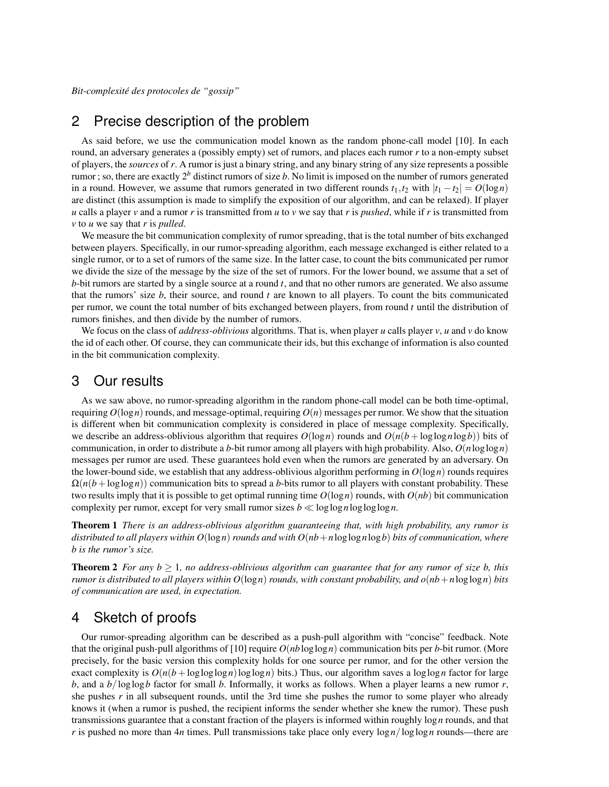*Bit-complexite des protocoles de "gossip" ´*

### 2 Precise description of the problem

As said before, we use the communication model known as the random phone-call model [10]. In each round, an adversary generates a (possibly empty) set of rumors, and places each rumor *r* to a non-empty subset of players, the *sources* of *r*. A rumor is just a binary string, and any binary string of any size represents a possible rumor ; so, there are exactly 2*<sup>b</sup>* distinct rumors of size *b*. No limit is imposed on the number of rumors generated in a round. However, we assume that rumors generated in two different rounds  $t_1, t_2$  with  $|t_1 - t_2| = O(\log n)$ are distinct (this assumption is made to simplify the exposition of our algorithm, and can be relaxed). If player *u* calls a player *v* and a rumor *r* is transmitted from *u* to *v* we say that *r* is *pushed*, while if *r* is transmitted from *v* to *u* we say that *r* is *pulled*.

We measure the bit communication complexity of rumor spreading, that is the total number of bits exchanged between players. Specifically, in our rumor-spreading algorithm, each message exchanged is either related to a single rumor, or to a set of rumors of the same size. In the latter case, to count the bits communicated per rumor we divide the size of the message by the size of the set of rumors. For the lower bound, we assume that a set of *b*-bit rumors are started by a single source at a round *t*, and that no other rumors are generated. We also assume that the rumors' size *b*, their source, and round *t* are known to all players. To count the bits communicated per rumor, we count the total number of bits exchanged between players, from round *t* until the distribution of rumors finishes, and then divide by the number of rumors.

We focus on the class of *address-oblivious* algorithms. That is, when player *u* calls player *v*, *u* and *v* do know the id of each other. Of course, they can communicate their ids, but this exchange of information is also counted in the bit communication complexity.

#### 3 Our results

As we saw above, no rumor-spreading algorithm in the random phone-call model can be both time-optimal, requiring  $O(\log n)$  rounds, and message-optimal, requiring  $O(n)$  messages per rumor. We show that the situation is different when bit communication complexity is considered in place of message complexity. Specifically, we describe an address-oblivious algorithm that requires  $O(\log n)$  rounds and  $O(n(b + \log \log n \log b))$  bits of communication, in order to distribute a *b*-bit rumor among all players with high probability. Also,  $O(n \log \log n)$ messages per rumor are used. These guarantees hold even when the rumors are generated by an adversary. On the lower-bound side, we establish that any address-oblivious algorithm performing in  $O(\log n)$  rounds requires  $\Omega(n(b + \log \log n))$  communication bits to spread a *b*-bits rumor to all players with constant probability. These two results imply that it is possible to get optimal running time  $O(\log n)$  rounds, with  $O(nb)$  bit communication complexity per rumor, except for very small rumor sizes  $b \ll \log \log n \log \log n$ .

Theorem 1 *There is an address-oblivious algorithm guaranteeing that, with high probability, any rumor is distributed to all players within O*(log*n*) *rounds and with O*(*nb*+*n*loglog*n*log*b*) *bits of communication, where b is the rumor's size.*

**Theorem 2** *For any b*  $\geq$  1*, no address-oblivious algorithm can guarantee that for any rumor of size b, this rumor is distributed to all players within O*(log*n*) *rounds, with constant probability, and o*(*nb*+*n*loglog*n*) *bits of communication are used, in expectation.*

#### 4 Sketch of proofs

Our rumor-spreading algorithm can be described as a push-pull algorithm with "concise" feedback. Note that the original push-pull algorithms of [10] require *O*(*nb*loglog*n*) communication bits per *b*-bit rumor. (More precisely, for the basic version this complexity holds for one source per rumor, and for the other version the exact complexity is  $O(n(b + \log \log \log n) \log \log n)$  bits.) Thus, our algorithm saves a loglog *n* factor for large *b*, and a *b*/loglog*b* factor for small *b*. Informally, it works as follows. When a player learns a new rumor *r*, she pushes *r* in all subsequent rounds, until the 3rd time she pushes the rumor to some player who already knows it (when a rumor is pushed, the recipient informs the sender whether she knew the rumor). These push transmissions guarantee that a constant fraction of the players is informed within roughly log*n* rounds, and that *r* is pushed no more than 4*n* times. Pull transmissions take place only every log*n*/loglog*n* rounds—there are